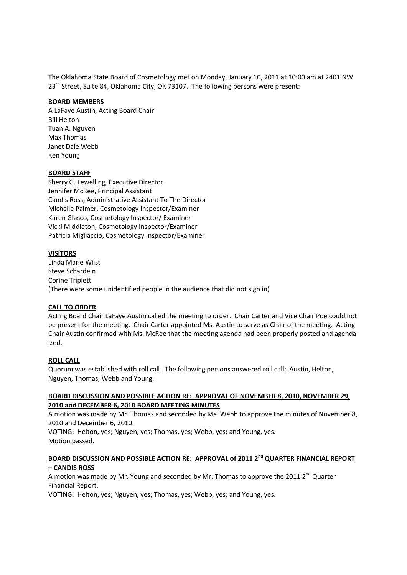The Oklahoma State Board of Cosmetology met on Monday, January 10, 2011 at 10:00 am at 2401 NW 23<sup>rd</sup> Street, Suite 84, Oklahoma City, OK 73107. The following persons were present:

### **BOARD MEMBERS**

A LaFaye Austin, Acting Board Chair Bill Helton Tuan A. Nguyen Max Thomas Janet Dale Webb Ken Young

### **BOARD STAFF**

Sherry G. Lewelling, Executive Director Jennifer McRee, Principal Assistant Candis Ross, Administrative Assistant To The Director Michelle Palmer, Cosmetology Inspector/Examiner Karen Glasco, Cosmetology Inspector/ Examiner Vicki Middleton, Cosmetology Inspector/Examiner Patricia Migliaccio, Cosmetology Inspector/Examiner

#### **VISITORS**

Linda Marie Wiist Steve Schardein Corine Triplett (There were some unidentified people in the audience that did not sign in)

#### **CALL TO ORDER**

Acting Board Chair LaFaye Austin called the meeting to order. Chair Carter and Vice Chair Poe could not be present for the meeting. Chair Carter appointed Ms. Austin to serve as Chair of the meeting. Acting Chair Austin confirmed with Ms. McRee that the meeting agenda had been properly posted and agendaized.

#### **ROLL CALL**

Quorum was established with roll call. The following persons answered roll call: Austin, Helton, Nguyen, Thomas, Webb and Young.

### **BOARD DISCUSSION AND POSSIBLE ACTION RE: APPROVAL OF NOVEMBER 8, 2010, NOVEMBER 29, 2010 and DECEMBER 6, 2010 BOARD MEETING MINUTES**

A motion was made by Mr. Thomas and seconded by Ms. Webb to approve the minutes of November 8, 2010 and December 6, 2010.

VOTING: Helton, yes; Nguyen, yes; Thomas, yes; Webb, yes; and Young, yes. Motion passed.

### **BOARD DISCUSSION AND POSSIBLE ACTION RE: APPROVAL of 2011 2nd QUARTER FINANCIAL REPORT – CANDIS ROSS**

A motion was made by Mr. Young and seconded by Mr. Thomas to approve the 2011  $2^{nd}$  Quarter Financial Report.

VOTING: Helton, yes; Nguyen, yes; Thomas, yes; Webb, yes; and Young, yes.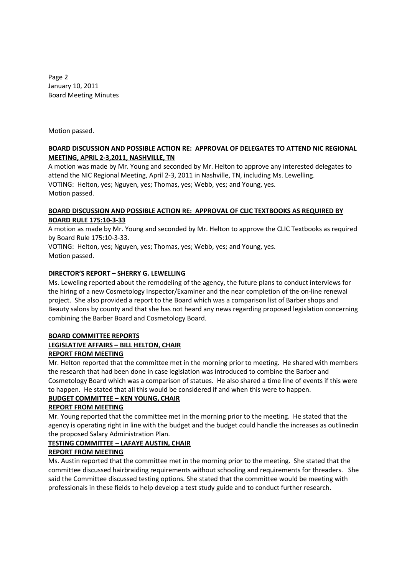Page 2 January 10, 2011 Board Meeting Minutes

Motion passed.

### **BOARD DISCUSSION AND POSSIBLE ACTION RE: APPROVAL OF DELEGATES TO ATTEND NIC REGIONAL MEETING, APRIL 2-3,2011, NASHVILLE, TN**

A motion was made by Mr. Young and seconded by Mr. Helton to approve any interested delegates to attend the NIC Regional Meeting, April 2-3, 2011 in Nashville, TN, including Ms. Lewelling. VOTING: Helton, yes; Nguyen, yes; Thomas, yes; Webb, yes; and Young, yes. Motion passed.

### **BOARD DISCUSSION AND POSSIBLE ACTION RE: APPROVAL OF CLIC TEXTBOOKS AS REQUIRED BY BOARD RULE 175:10-3-33**

A motion as made by Mr. Young and seconded by Mr. Helton to approve the CLIC Textbooks as required by Board Rule 175:10-3-33.

VOTING: Helton, yes; Nguyen, yes; Thomas, yes; Webb, yes; and Young, yes. Motion passed.

## **DIRECTOR'S REPORT – SHERRY G. LEWELLING**

Ms. Leweling reported about the remodeling of the agency, the future plans to conduct interviews for the hiring of a new Cosmetology Inspector/Examiner and the near completion of the on-line renewal project. She also provided a report to the Board which was a comparison list of Barber shops and Beauty salons by county and that she has not heard any news regarding proposed legislation concerning combining the Barber Board and Cosmetology Board.

### **BOARD COMMITTEE REPORTS LEGISLATIVE AFFAIRS – BILL HELTON, CHAIR REPORT FROM MEETING**

Mr. Helton reported that the committee met in the morning prior to meeting. He shared with members the research that had been done in case legislation was introduced to combine the Barber and Cosmetology Board which was a comparison of statues. He also shared a time line of events if this were to happen. He stated that all this would be considered if and when this were to happen.

# **BUDGET COMMITTEE – KEN YOUNG, CHAIR**

# **REPORT FROM MEETING**

Mr. Young reported that the committee met in the morning prior to the meeting. He stated that the agency is operating right in line with the budget and the budget could handle the increases as outlinedin the proposed Salary Administration Plan.

# **TESTING COMMITTEE – LAFAYE AUSTIN, CHAIR**

# **REPORT FROM MEETING**

Ms. Austin reported that the committee met in the morning prior to the meeting. She stated that the committee discussed hairbraiding requirements without schooling and requirements for threaders. She said the Committee discussed testing options. She stated that the committee would be meeting with professionals in these fields to help develop a test study guide and to conduct further research.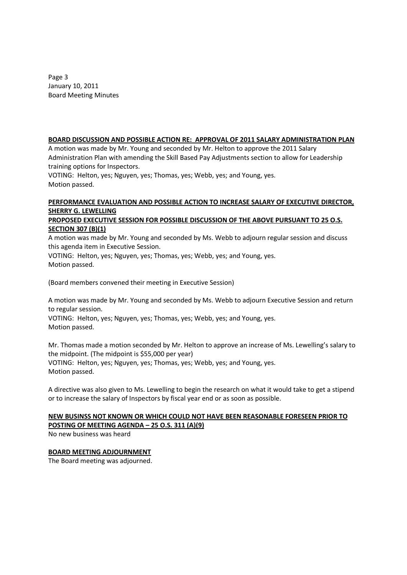Page 3 January 10, 2011 Board Meeting Minutes

### **BOARD DISCUSSION AND POSSIBLE ACTION RE: APPROVAL OF 2011 SALARY ADMINISTRATION PLAN**

A motion was made by Mr. Young and seconded by Mr. Helton to approve the 2011 Salary Administration Plan with amending the Skill Based Pay Adjustments section to allow for Leadership training options for Inspectors.

VOTING: Helton, yes; Nguyen, yes; Thomas, yes; Webb, yes; and Young, yes. Motion passed.

# **PERFORMANCE EVALUATION AND POSSIBLE ACTION TO INCREASE SALARY OF EXECUTIVE DIRECTOR, SHERRY G. LEWELLING**

## **PROPOSED EXECUTIVE SESSION FOR POSSIBLE DISCUSSION OF THE ABOVE PURSUANT TO 25 O.S. SECTION 307 (B)(1)**

A motion was made by Mr. Young and seconded by Ms. Webb to adjourn regular session and discuss this agenda item in Executive Session.

VOTING: Helton, yes; Nguyen, yes; Thomas, yes; Webb, yes; and Young, yes. Motion passed.

(Board members convened their meeting in Executive Session)

A motion was made by Mr. Young and seconded by Ms. Webb to adjourn Executive Session and return to regular session.

VOTING: Helton, yes; Nguyen, yes; Thomas, yes; Webb, yes; and Young, yes. Motion passed.

Mr. Thomas made a motion seconded by Mr. Helton to approve an increase of Ms. Lewelling's salary to the midpoint. (The midpoint is \$55,000 per year) VOTING: Helton, yes; Nguyen, yes; Thomas, yes; Webb, yes; and Young, yes. Motion passed.

A directive was also given to Ms. Lewelling to begin the research on what it would take to get a stipend or to increase the salary of Inspectors by fiscal year end or as soon as possible.

# **NEW BUSINSS NOT KNOWN OR WHICH COULD NOT HAVE BEEN REASONABLE FORESEEN PRIOR TO POSTING OF MEETING AGENDA – 25 O.S. 311 (A)(9)**

No new business was heard

### **BOARD MEETING ADJOURNMENT**

The Board meeting was adjourned.